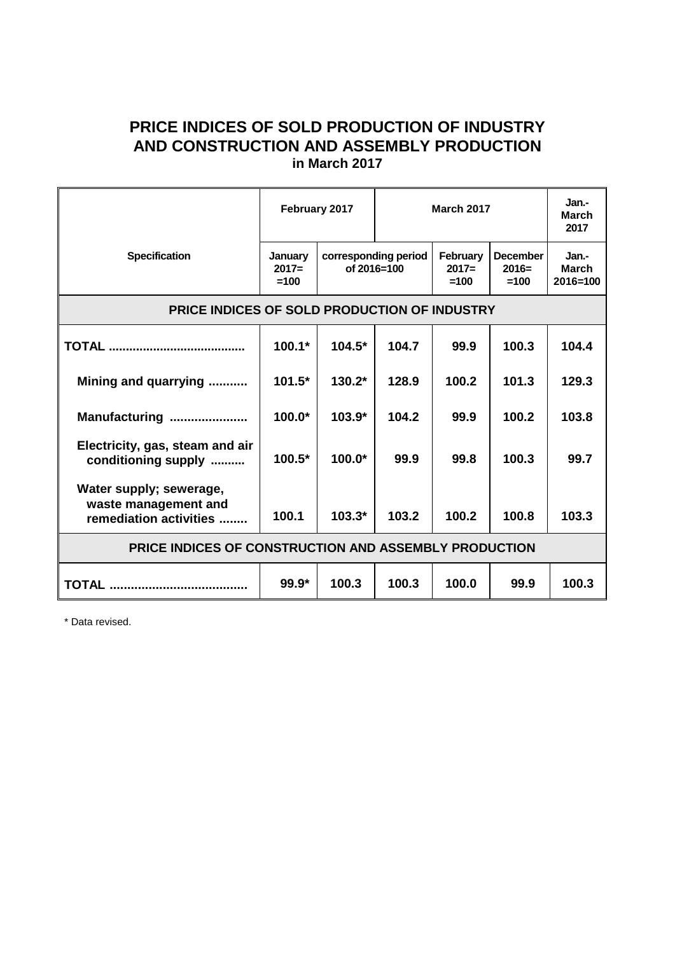## **PRICE INDICES OF SOLD PRODUCTION OF INDUSTRY AND CONSTRUCTION AND ASSEMBLY PRODUCTION in March 2017**

|                                                                           | February 2017                |                                     | <b>March 2017</b> |                               |                                      | Jan.-<br><b>March</b><br>2017         |
|---------------------------------------------------------------------------|------------------------------|-------------------------------------|-------------------|-------------------------------|--------------------------------------|---------------------------------------|
| <b>Specification</b>                                                      | January<br>$2017=$<br>$=100$ | corresponding period<br>of 2016=100 |                   | February<br>$2017=$<br>$=100$ | <b>December</b><br>$2016=$<br>$=100$ | Jan.-<br><b>March</b><br>$2016 = 100$ |
| <b>PRICE INDICES OF SOLD PRODUCTION OF INDUSTRY</b>                       |                              |                                     |                   |                               |                                      |                                       |
|                                                                           | $100.1*$                     | $104.5*$                            | 104.7             | 99.9                          | 100.3                                | 104.4                                 |
| Mining and quarrying                                                      | $101.5*$                     | $130.2*$                            | 128.9             | 100.2                         | 101.3                                | 129.3                                 |
| Manufacturing                                                             | $100.0*$                     | $103.9*$                            | 104.2             | 99.9                          | 100.2                                | 103.8                                 |
| Electricity, gas, steam and air<br>conditioning supply                    | $100.5*$                     | $100.0*$                            | 99.9              | 99.8                          | 100.3                                | 99.7                                  |
| Water supply; sewerage,<br>waste management and<br>remediation activities | 100.1                        | $103.3*$                            | 103.2             | 100.2                         | 100.8                                | 103.3                                 |
| PRICE INDICES OF CONSTRUCTION AND ASSEMBLY PRODUCTION                     |                              |                                     |                   |                               |                                      |                                       |
|                                                                           | $99.9*$                      | 100.3                               | 100.3             | 100.0                         | 99.9                                 | 100.3                                 |

\* Data revised.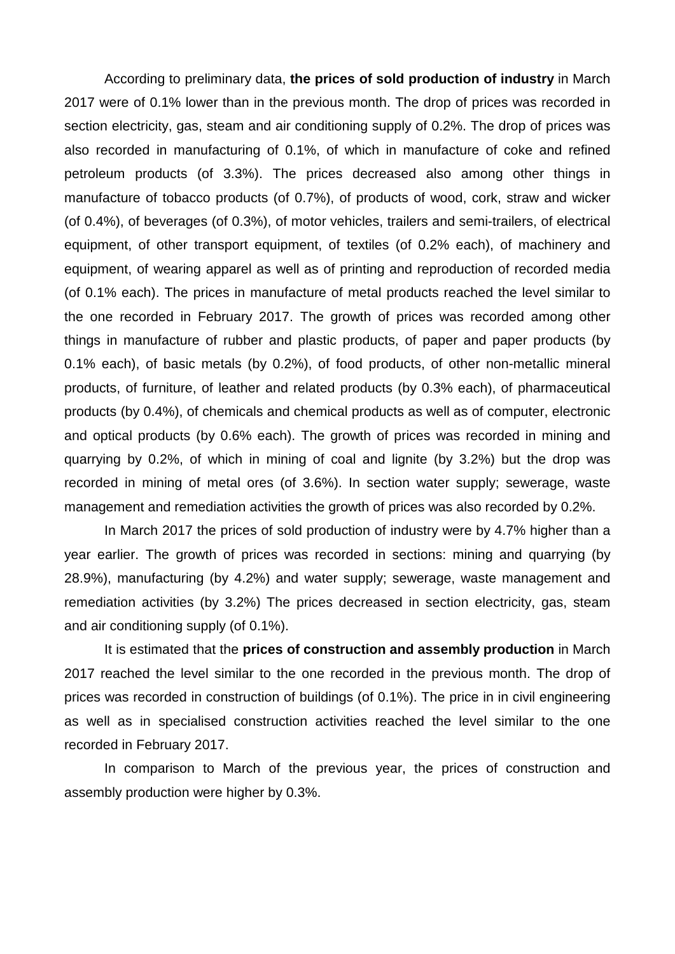According to preliminary data, **the prices of sold production of industry** in March 2017 were of 0.1% lower than in the previous month. The drop of prices was recorded in section electricity, gas, steam and air conditioning supply of 0.2%. The drop of prices was also recorded in manufacturing of 0.1%, of which in manufacture of coke and refined petroleum products (of 3.3%). The prices decreased also among other things in manufacture of tobacco products (of 0.7%), of products of wood, cork, straw and wicker (of 0.4%), of beverages (of 0.3%), of motor vehicles, trailers and semi-trailers, of electrical equipment, of other transport equipment, of textiles (of 0.2% each), of machinery and equipment, of wearing apparel as well as of printing and reproduction of recorded media (of 0.1% each). The prices in manufacture of metal products reached the level similar to the one recorded in February 2017. The growth of prices was recorded among other things in manufacture of rubber and plastic products, of paper and paper products (by 0.1% each), of basic metals (by 0.2%), of food products, of other non-metallic mineral products, of furniture, of leather and related products (by 0.3% each), of pharmaceutical products (by 0.4%), of chemicals and chemical products as well as of computer, electronic and optical products (by 0.6% each). The growth of prices was recorded in mining and quarrying by 0.2%, of which in mining of coal and lignite (by 3.2%) but the drop was recorded in mining of metal ores (of 3.6%). In section water supply; sewerage, waste management and remediation activities the growth of prices was also recorded by 0.2%.

In March 2017 the prices of sold production of industry were by 4.7% higher than a year earlier. The growth of prices was recorded in sections: mining and quarrying (by 28.9%), manufacturing (by 4.2%) and water supply; sewerage, waste management and remediation activities (by 3.2%) The prices decreased in section electricity, gas, steam and air conditioning supply (of 0.1%).

It is estimated that the **prices of construction and assembly production** in March 2017 reached the level similar to the one recorded in the previous month. The drop of prices was recorded in construction of buildings (of 0.1%). The price in in civil engineering as well as in specialised construction activities reached the level similar to the one recorded in February 2017.

In comparison to March of the previous year, the prices of construction and assembly production were higher by 0.3%.